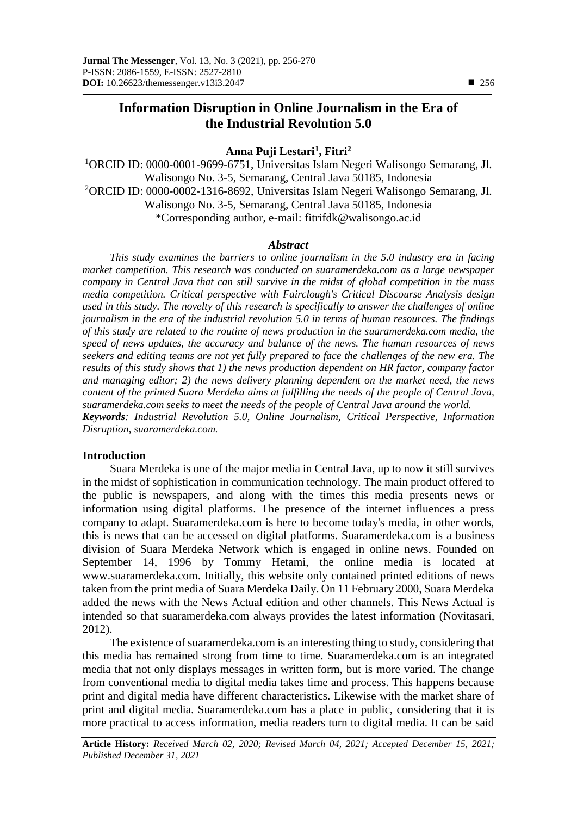# **Information Disruption in Online Journalism in the Era of the Industrial Revolution 5.0**

## **Anna Puji Lestari<sup>1</sup> , Fitri<sup>2</sup>**

<sup>1</sup>ORCID ID: 0000-0001-9699-6751, Universitas Islam Negeri Walisongo Semarang, Jl. Walisongo No. 3-5, Semarang, Central Java 50185, Indonesia <sup>2</sup>ORCID ID: 0000-0002-1316-8692, Universitas Islam Negeri Walisongo Semarang, Jl. Walisongo No. 3-5, Semarang, Central Java 50185, Indonesia \*Corresponding author, e-mail: fitrifdk@walisongo.ac.id

#### *Abstract*

*This study examines the barriers to online journalism in the 5.0 industry era in facing market competition. This research was conducted on suaramerdeka.com as a large newspaper company in Central Java that can still survive in the midst of global competition in the mass media competition. Critical perspective with Fairclough's Critical Discourse Analysis design used in this study. The novelty of this research is specifically to answer the challenges of online journalism in the era of the industrial revolution 5.0 in terms of human resources. The findings of this study are related to the routine of news production in the suaramerdeka.com media, the speed of news updates, the accuracy and balance of the news. The human resources of news seekers and editing teams are not yet fully prepared to face the challenges of the new era. The results of this study shows that 1) the news production dependent on HR factor, company factor and managing editor; 2) the news delivery planning dependent on the market need, the news content of the printed Suara Merdeka aims at fulfilling the needs of the people of Central Java, suaramerdeka.com seeks to meet the needs of the people of Central Java around the world. Keywords: Industrial Revolution 5.0, Online Journalism, Critical Perspective, Information Disruption, suaramerdeka.com.*

## **Introduction**

Suara Merdeka is one of the major media in Central Java, up to now it still survives in the midst of sophistication in communication technology. The main product offered to the public is newspapers, and along with the times this media presents news or information using digital platforms. The presence of the internet influences a press company to adapt. Suaramerdeka.com is here to become today's media, in other words, this is news that can be accessed on digital platforms. Suaramerdeka.com is a business division of Suara Merdeka Network which is engaged in online news. Founded on September 14, 1996 by Tommy Hetami, the online media is located at www.suaramerdeka.com. Initially, this website only contained printed editions of news taken from the print media of Suara Merdeka Daily. On 11 February 2000, Suara Merdeka added the news with the News Actual edition and other channels. This News Actual is intended so that suaramerdeka.com always provides the latest information (Novitasari, 2012).

The existence of suaramerdeka.com is an interesting thing to study, considering that this media has remained strong from time to time. Suaramerdeka.com is an integrated media that not only displays messages in written form, but is more varied. The change from conventional media to digital media takes time and process. This happens because print and digital media have different characteristics. Likewise with the market share of print and digital media. Suaramerdeka.com has a place in public, considering that it is more practical to access information, media readers turn to digital media. It can be said

**Article History:** *Received March 02, 2020; Revised March 04, 2021; Accepted December 15, 2021; Published December 31, 2021*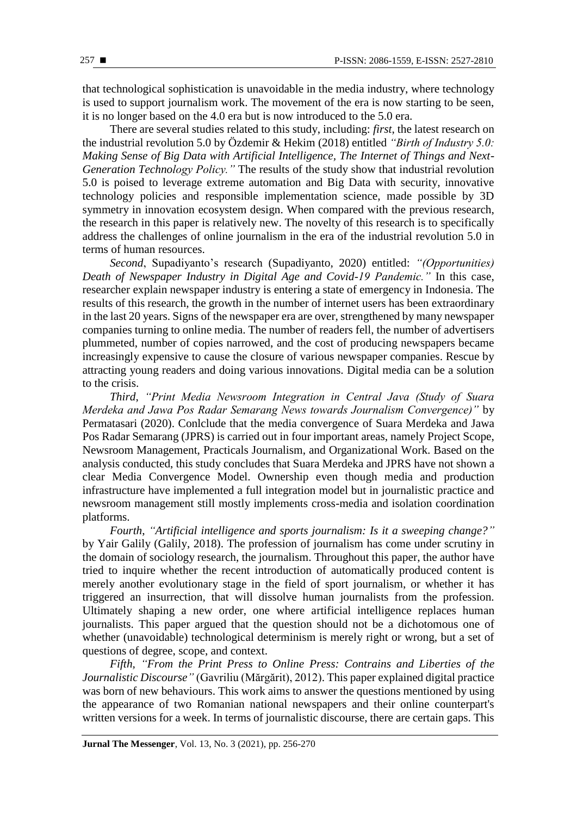that technological sophistication is unavoidable in the media industry, where technology is used to support journalism work. The movement of the era is now starting to be seen, it is no longer based on the 4.0 era but is now introduced to the 5.0 era.

There are several studies related to this study, including: *first*, the latest research on the industrial revolution 5.0 by Özdemir & Hekim (2018) entitled *"Birth of Industry 5.0: Making Sense of Big Data with Artificial Intelligence, The Internet of Things and Next-Generation Technology Policy."* The results of the study show that industrial revolution 5.0 is poised to leverage extreme automation and Big Data with security, innovative technology policies and responsible implementation science, made possible by 3D symmetry in innovation ecosystem design. When compared with the previous research, the research in this paper is relatively new. The novelty of this research is to specifically address the challenges of online journalism in the era of the industrial revolution 5.0 in terms of human resources.

*Second*, Supadiyanto's research (Supadiyanto, 2020) entitled: *"(Opportunities) Death of Newspaper Industry in Digital Age and Covid-19 Pandemic."* In this case, researcher explain newspaper industry is entering a state of emergency in Indonesia. The results of this research, the growth in the number of internet users has been extraordinary in the last 20 years. Signs of the newspaper era are over, strengthened by many newspaper companies turning to online media. The number of readers fell, the number of advertisers plummeted, number of copies narrowed, and the cost of producing newspapers became increasingly expensive to cause the closure of various newspaper companies. Rescue by attracting young readers and doing various innovations. Digital media can be a solution to the crisis.

*Third*, *"Print Media Newsroom Integration in Central Java (Study of Suara Merdeka and Jawa Pos Radar Semarang News towards Journalism Convergence)"* by Permatasari (2020). Conlclude that the media convergence of Suara Merdeka and Jawa Pos Radar Semarang (JPRS) is carried out in four important areas, namely Project Scope, Newsroom Management, Practicals Journalism, and Organizational Work. Based on the analysis conducted, this study concludes that Suara Merdeka and JPRS have not shown a clear Media Convergence Model. Ownership even though media and production infrastructure have implemented a full integration model but in journalistic practice and newsroom management still mostly implements cross-media and isolation coordination platforms.

*Fourth*, *"Artificial intelligence and sports journalism: Is it a sweeping change?"* by Yair Galily (Galily, 2018). The profession of journalism has come under scrutiny in the domain of sociology research, the journalism. Throughout this paper, the author have tried to inquire whether the recent introduction of automatically produced content is merely another evolutionary stage in the field of sport journalism, or whether it has triggered an insurrection, that will dissolve human journalists from the profession. Ultimately shaping a new order, one where artificial intelligence replaces human journalists. This paper argued that the question should not be a dichotomous one of whether (unavoidable) technological determinism is merely right or wrong, but a set of questions of degree, scope, and context.

*Fifth, "From the Print Press to Online Press: Contrains and Liberties of the Journalistic Discourse"* (Gavriliu (Mărgărit), 2012). This paper explained digital practice was born of new behaviours. This work aims to answer the questions mentioned by using the appearance of two Romanian national newspapers and their online counterpart's written versions for a week. In terms of journalistic discourse, there are certain gaps. This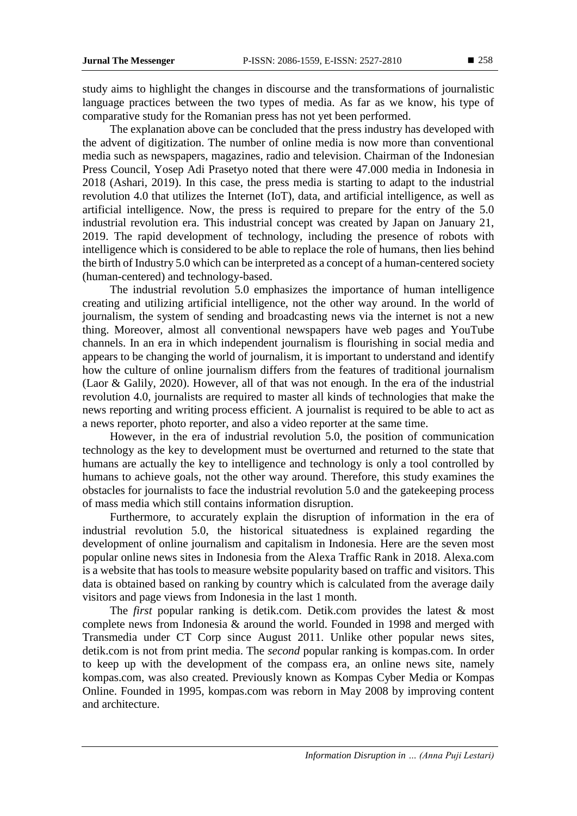study aims to highlight the changes in discourse and the transformations of journalistic language practices between the two types of media. As far as we know, his type of comparative study for the Romanian press has not yet been performed.

The explanation above can be concluded that the press industry has developed with the advent of digitization. The number of online media is now more than conventional media such as newspapers, magazines, radio and television. Chairman of the Indonesian Press Council, Yosep Adi Prasetyo noted that there were 47.000 media in Indonesia in 2018 (Ashari, 2019). In this case, the press media is starting to adapt to the industrial revolution 4.0 that utilizes the Internet (IoT), data, and artificial intelligence, as well as artificial intelligence. Now, the press is required to prepare for the entry of the 5.0 industrial revolution era. This industrial concept was created by Japan on January 21, 2019. The rapid development of technology, including the presence of robots with intelligence which is considered to be able to replace the role of humans, then lies behind the birth of Industry 5.0 which can be interpreted as a concept of a human-centered society (human-centered) and technology-based.

The industrial revolution 5.0 emphasizes the importance of human intelligence creating and utilizing artificial intelligence, not the other way around. In the world of journalism, the system of sending and broadcasting news via the internet is not a new thing. Moreover, almost all conventional newspapers have web pages and YouTube channels. In an era in which independent journalism is flourishing in social media and appears to be changing the world of journalism, it is important to understand and identify how the culture of online journalism differs from the features of traditional journalism (Laor & Galily, 2020). However, all of that was not enough. In the era of the industrial revolution 4.0, journalists are required to master all kinds of technologies that make the news reporting and writing process efficient. A journalist is required to be able to act as a news reporter, photo reporter, and also a video reporter at the same time.

However, in the era of industrial revolution 5.0, the position of communication technology as the key to development must be overturned and returned to the state that humans are actually the key to intelligence and technology is only a tool controlled by humans to achieve goals, not the other way around. Therefore, this study examines the obstacles for journalists to face the industrial revolution 5.0 and the gatekeeping process of mass media which still contains information disruption.

Furthermore, to accurately explain the disruption of information in the era of industrial revolution 5.0, the historical situatedness is explained regarding the development of online journalism and capitalism in Indonesia. Here are the seven most popular online news sites in Indonesia from the Alexa Traffic Rank in 2018. Alexa.com is a website that has tools to measure website popularity based on traffic and visitors. This data is obtained based on ranking by country which is calculated from the average daily visitors and page views from Indonesia in the last 1 month.

The *first* popular ranking is detik.com. Detik.com provides the latest & most complete news from Indonesia & around the world. Founded in 1998 and merged with Transmedia under CT Corp since August 2011. Unlike other popular news sites, detik.com is not from print media. The *second* popular ranking is kompas.com. In order to keep up with the development of the compass era, an online news site, namely kompas.com, was also created. Previously known as Kompas Cyber Media or Kompas Online. Founded in 1995, kompas.com was reborn in May 2008 by improving content and architecture.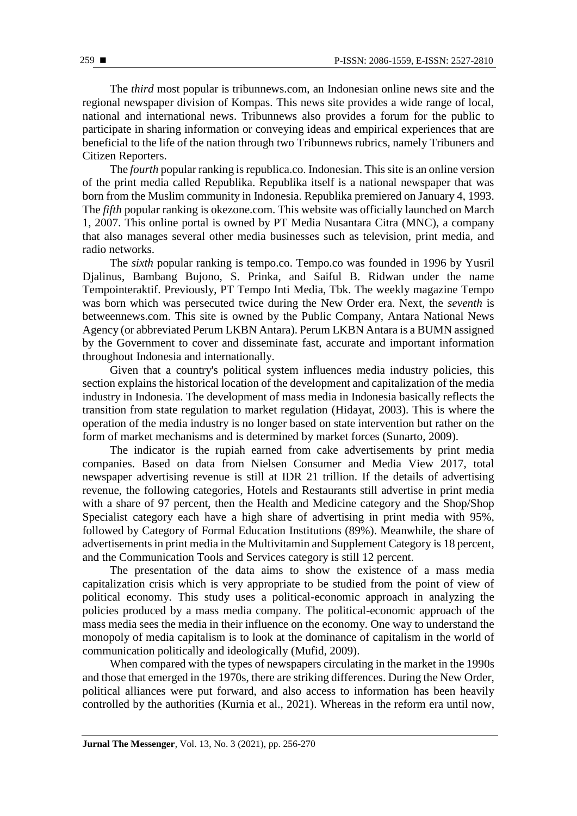The *third* most popular is tribunnews.com, an Indonesian online news site and the regional newspaper division of Kompas. This news site provides a wide range of local, national and international news. Tribunnews also provides a forum for the public to participate in sharing information or conveying ideas and empirical experiences that are beneficial to the life of the nation through two Tribunnews rubrics, namely Tribuners and Citizen Reporters.

The *fourth* popular ranking is republica.co. Indonesian. This site is an online version of the print media called Republika. Republika itself is a national newspaper that was born from the Muslim community in Indonesia. Republika premiered on January 4, 1993. The *fifth* popular ranking is okezone.com. This website was officially launched on March 1, 2007. This online portal is owned by PT Media Nusantara Citra (MNC), a company that also manages several other media businesses such as television, print media, and radio networks.

The *sixth* popular ranking is tempo.co. Tempo.co was founded in 1996 by Yusril Djalinus, Bambang Bujono, S. Prinka, and Saiful B. Ridwan under the name Tempointeraktif. Previously, PT Tempo Inti Media, Tbk. The weekly magazine Tempo was born which was persecuted twice during the New Order era. Next, the *seventh* is betweennews.com. This site is owned by the Public Company, Antara National News Agency (or abbreviated Perum LKBN Antara). Perum LKBN Antara is a BUMN assigned by the Government to cover and disseminate fast, accurate and important information throughout Indonesia and internationally.

Given that a country's political system influences media industry policies, this section explains the historical location of the development and capitalization of the media industry in Indonesia. The development of mass media in Indonesia basically reflects the transition from state regulation to market regulation (Hidayat, 2003). This is where the operation of the media industry is no longer based on state intervention but rather on the form of market mechanisms and is determined by market forces (Sunarto, 2009).

The indicator is the rupiah earned from cake advertisements by print media companies. Based on data from Nielsen Consumer and Media View 2017, total newspaper advertising revenue is still at IDR 21 trillion. If the details of advertising revenue, the following categories, Hotels and Restaurants still advertise in print media with a share of 97 percent, then the Health and Medicine category and the Shop/Shop Specialist category each have a high share of advertising in print media with 95%, followed by Category of Formal Education Institutions (89%). Meanwhile, the share of advertisements in print media in the Multivitamin and Supplement Category is 18 percent, and the Communication Tools and Services category is still 12 percent.

The presentation of the data aims to show the existence of a mass media capitalization crisis which is very appropriate to be studied from the point of view of political economy. This study uses a political-economic approach in analyzing the policies produced by a mass media company. The political-economic approach of the mass media sees the media in their influence on the economy. One way to understand the monopoly of media capitalism is to look at the dominance of capitalism in the world of communication politically and ideologically (Mufid, 2009).

When compared with the types of newspapers circulating in the market in the 1990s and those that emerged in the 1970s, there are striking differences. During the New Order, political alliances were put forward, and also access to information has been heavily controlled by the authorities (Kurnia et al., 2021). Whereas in the reform era until now,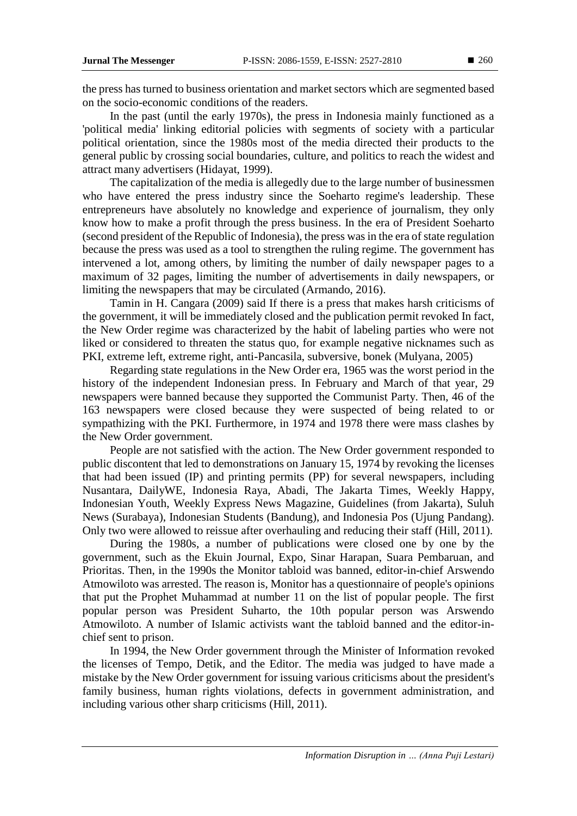the press has turned to business orientation and market sectors which are segmented based on the socio-economic conditions of the readers.

In the past (until the early 1970s), the press in Indonesia mainly functioned as a 'political media' linking editorial policies with segments of society with a particular political orientation, since the 1980s most of the media directed their products to the general public by crossing social boundaries, culture, and politics to reach the widest and attract many advertisers (Hidayat, 1999).

The capitalization of the media is allegedly due to the large number of businessmen who have entered the press industry since the Soeharto regime's leadership. These entrepreneurs have absolutely no knowledge and experience of journalism, they only know how to make a profit through the press business. In the era of President Soeharto (second president of the Republic of Indonesia), the press was in the era of state regulation because the press was used as a tool to strengthen the ruling regime. The government has intervened a lot, among others, by limiting the number of daily newspaper pages to a maximum of 32 pages, limiting the number of advertisements in daily newspapers, or limiting the newspapers that may be circulated (Armando, 2016).

Tamin in H. Cangara (2009) said If there is a press that makes harsh criticisms of the government, it will be immediately closed and the publication permit revoked In fact, the New Order regime was characterized by the habit of labeling parties who were not liked or considered to threaten the status quo, for example negative nicknames such as PKI, extreme left, extreme right, anti-Pancasila, subversive, bonek (Mulyana, 2005)

Regarding state regulations in the New Order era, 1965 was the worst period in the history of the independent Indonesian press. In February and March of that year, 29 newspapers were banned because they supported the Communist Party. Then, 46 of the 163 newspapers were closed because they were suspected of being related to or sympathizing with the PKI. Furthermore, in 1974 and 1978 there were mass clashes by the New Order government.

People are not satisfied with the action. The New Order government responded to public discontent that led to demonstrations on January 15, 1974 by revoking the licenses that had been issued (IP) and printing permits (PP) for several newspapers, including Nusantara, DailyWE, Indonesia Raya, Abadi, The Jakarta Times, Weekly Happy, Indonesian Youth, Weekly Express News Magazine, Guidelines (from Jakarta), Suluh News (Surabaya), Indonesian Students (Bandung), and Indonesia Pos (Ujung Pandang). Only two were allowed to reissue after overhauling and reducing their staff (Hill, 2011).

During the 1980s, a number of publications were closed one by one by the government, such as the Ekuin Journal, Expo, Sinar Harapan, Suara Pembaruan, and Prioritas. Then, in the 1990s the Monitor tabloid was banned, editor-in-chief Arswendo Atmowiloto was arrested. The reason is, Monitor has a questionnaire of people's opinions that put the Prophet Muhammad at number 11 on the list of popular people. The first popular person was President Suharto, the 10th popular person was Arswendo Atmowiloto. A number of Islamic activists want the tabloid banned and the editor-inchief sent to prison.

In 1994, the New Order government through the Minister of Information revoked the licenses of Tempo, Detik, and the Editor. The media was judged to have made a mistake by the New Order government for issuing various criticisms about the president's family business, human rights violations, defects in government administration, and including various other sharp criticisms (Hill, 2011).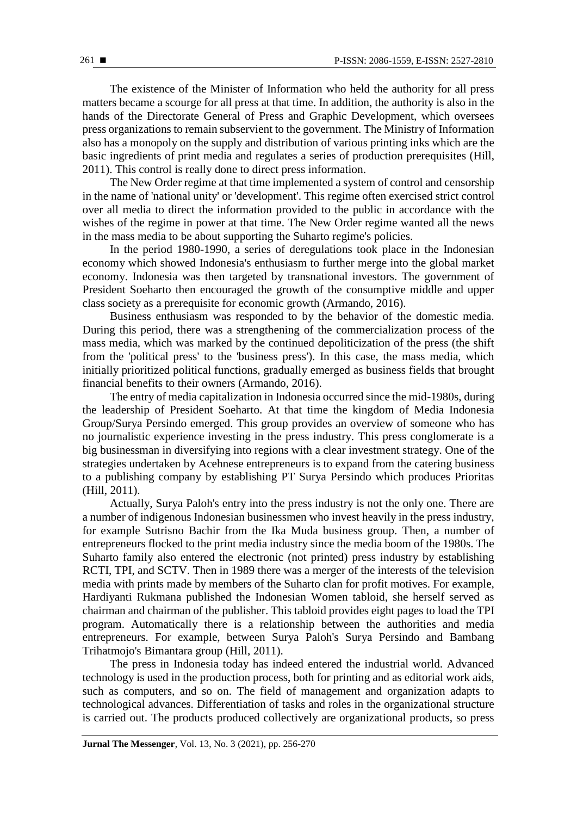The existence of the Minister of Information who held the authority for all press matters became a scourge for all press at that time. In addition, the authority is also in the hands of the Directorate General of Press and Graphic Development, which oversees press organizations to remain subservient to the government. The Ministry of Information also has a monopoly on the supply and distribution of various printing inks which are the basic ingredients of print media and regulates a series of production prerequisites (Hill, 2011). This control is really done to direct press information.

The New Order regime at that time implemented a system of control and censorship in the name of 'national unity' or 'development'. This regime often exercised strict control over all media to direct the information provided to the public in accordance with the wishes of the regime in power at that time. The New Order regime wanted all the news in the mass media to be about supporting the Suharto regime's policies.

In the period 1980-1990, a series of deregulations took place in the Indonesian economy which showed Indonesia's enthusiasm to further merge into the global market economy. Indonesia was then targeted by transnational investors. The government of President Soeharto then encouraged the growth of the consumptive middle and upper class society as a prerequisite for economic growth (Armando, 2016).

Business enthusiasm was responded to by the behavior of the domestic media. During this period, there was a strengthening of the commercialization process of the mass media, which was marked by the continued depoliticization of the press (the shift from the 'political press' to the 'business press'). In this case, the mass media, which initially prioritized political functions, gradually emerged as business fields that brought financial benefits to their owners (Armando, 2016).

The entry of media capitalization in Indonesia occurred since the mid-1980s, during the leadership of President Soeharto. At that time the kingdom of Media Indonesia Group/Surya Persindo emerged. This group provides an overview of someone who has no journalistic experience investing in the press industry. This press conglomerate is a big businessman in diversifying into regions with a clear investment strategy. One of the strategies undertaken by Acehnese entrepreneurs is to expand from the catering business to a publishing company by establishing PT Surya Persindo which produces Prioritas (Hill, 2011).

Actually, Surya Paloh's entry into the press industry is not the only one. There are a number of indigenous Indonesian businessmen who invest heavily in the press industry, for example Sutrisno Bachir from the Ika Muda business group. Then, a number of entrepreneurs flocked to the print media industry since the media boom of the 1980s. The Suharto family also entered the electronic (not printed) press industry by establishing RCTI, TPI, and SCTV. Then in 1989 there was a merger of the interests of the television media with prints made by members of the Suharto clan for profit motives. For example, Hardiyanti Rukmana published the Indonesian Women tabloid, she herself served as chairman and chairman of the publisher. This tabloid provides eight pages to load the TPI program. Automatically there is a relationship between the authorities and media entrepreneurs. For example, between Surya Paloh's Surya Persindo and Bambang Trihatmojo's Bimantara group (Hill, 2011).

The press in Indonesia today has indeed entered the industrial world. Advanced technology is used in the production process, both for printing and as editorial work aids, such as computers, and so on. The field of management and organization adapts to technological advances. Differentiation of tasks and roles in the organizational structure is carried out. The products produced collectively are organizational products, so press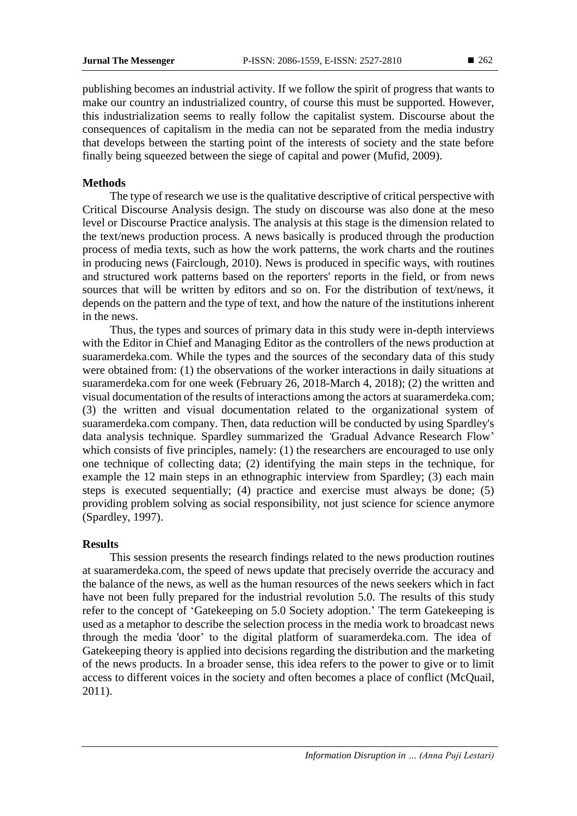publishing becomes an industrial activity. If we follow the spirit of progress that wants to make our country an industrialized country, of course this must be supported. However, this industrialization seems to really follow the capitalist system. Discourse about the consequences of capitalism in the media can not be separated from the media industry that develops between the starting point of the interests of society and the state before finally being squeezed between the siege of capital and power (Mufid, 2009).

## **Methods**

The type of research we use is the qualitative descriptive of critical perspective with Critical Discourse Analysis design. The study on discourse was also done at the meso level or Discourse Practice analysis. The analysis at this stage is the dimension related to the text/news production process. A news basically is produced through the production process of media texts, such as how the work patterns, the work charts and the routines in producing news (Fairclough, 2010). News is produced in specific ways, with routines and structured work patterns based on the reporters' reports in the field, or from news sources that will be written by editors and so on. For the distribution of text/news, it depends on the pattern and the type of text, and how the nature of the institutions inherent in the news.

Thus, the types and sources of primary data in this study were in-depth interviews with the Editor in Chief and Managing Editor as the controllers of the news production at suaramerdeka.com. While the types and the sources of the secondary data of this study were obtained from: (1) the observations of the worker interactions in daily situations at suaramerdeka.com for one week (February 26, 2018-March 4, 2018); (2) the written and visual documentation of the results of interactions among the actors at suaramerdeka.com; (3) the written and visual documentation related to the organizational system of suaramerdeka.com company. Then, data reduction will be conducted by using Spardley's data analysis technique. Spardley summarized the *'*Gradual Advance Research Flow' which consists of five principles, namely: (1) the researchers are encouraged to use only one technique of collecting data; (2) identifying the main steps in the technique, for example the 12 main steps in an ethnographic interview from Spardley; (3) each main steps is executed sequentially; (4) practice and exercise must always be done; (5) providing problem solving as social responsibility, not just science for science anymore (Spardley, 1997).

## **Results**

This session presents the research findings related to the news production routines at suaramerdeka.com, the speed of news update that precisely override the accuracy and the balance of the news, as well as the human resources of the news seekers which in fact have not been fully prepared for the industrial revolution 5.0. The results of this study refer to the concept of 'Gatekeeping on 5.0 Society adoption.' The term Gatekeeping is used as a metaphor to describe the selection process in the media work to broadcast news through the media 'door' to the digital platform of suaramerdeka.com. The idea of Gatekeeping theory is applied into decisions regarding the distribution and the marketing of the news products. In a broader sense, this idea refers to the power to give or to limit access to different voices in the society and often becomes a place of conflict (McQuail, 2011).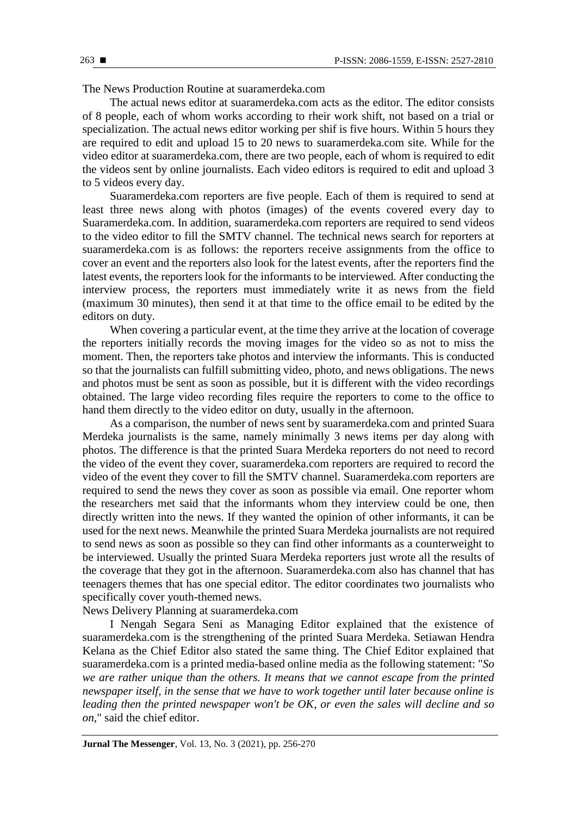The News Production Routine at suaramerdeka.com

The actual news editor at suaramerdeka.com acts as the editor. The editor consists of 8 people, each of whom works according to rheir work shift, not based on a trial or specialization. The actual news editor working per shif is five hours. Within 5 hours they are required to edit and upload 15 to 20 news to suaramerdeka.com site. While for the video editor at suaramerdeka.com, there are two people, each of whom is required to edit the videos sent by online journalists. Each video editors is required to edit and upload 3 to 5 videos every day.

Suaramerdeka.com reporters are five people. Each of them is required to send at least three news along with photos (images) of the events covered every day to Suaramerdeka.com. In addition, suaramerdeka.com reporters are required to send videos to the video editor to fill the SMTV channel. The technical news search for reporters at suaramerdeka.com is as follows: the reporters receive assignments from the office to cover an event and the reporters also look for the latest events, after the reporters find the latest events, the reporters look for the informants to be interviewed. After conducting the interview process, the reporters must immediately write it as news from the field (maximum 30 minutes), then send it at that time to the office email to be edited by the editors on duty.

When covering a particular event, at the time they arrive at the location of coverage the reporters initially records the moving images for the video so as not to miss the moment. Then, the reporters take photos and interview the informants. This is conducted so that the journalists can fulfill submitting video, photo, and news obligations. The news and photos must be sent as soon as possible, but it is different with the video recordings obtained. The large video recording files require the reporters to come to the office to hand them directly to the video editor on duty, usually in the afternoon.

As a comparison, the number of news sent by suaramerdeka.com and printed Suara Merdeka journalists is the same, namely minimally 3 news items per day along with photos. The difference is that the printed Suara Merdeka reporters do not need to record the video of the event they cover, suaramerdeka.com reporters are required to record the video of the event they cover to fill the SMTV channel. Suaramerdeka.com reporters are required to send the news they cover as soon as possible via email. One reporter whom the researchers met said that the informants whom they interview could be one, then directly written into the news. If they wanted the opinion of other informants, it can be used for the next news. Meanwhile the printed Suara Merdeka journalists are not required to send news as soon as possible so they can find other informants as a counterweight to be interviewed. Usually the printed Suara Merdeka reporters just wrote all the results of the coverage that they got in the afternoon. Suaramerdeka.com also has channel that has teenagers themes that has one special editor. The editor coordinates two journalists who specifically cover youth-themed news.

News Delivery Planning at suaramerdeka.com

I Nengah Segara Seni as Managing Editor explained that the existence of suaramerdeka.com is the strengthening of the printed Suara Merdeka. Setiawan Hendra Kelana as the Chief Editor also stated the same thing. The Chief Editor explained that suaramerdeka.com is a printed media-based online media as the following statement: "*So we are rather unique than the others. It means that we cannot escape from the printed newspaper itself, in the sense that we have to work together until later because online is leading then the printed newspaper won't be OK, or even the sales will decline and so on,*" said the chief editor.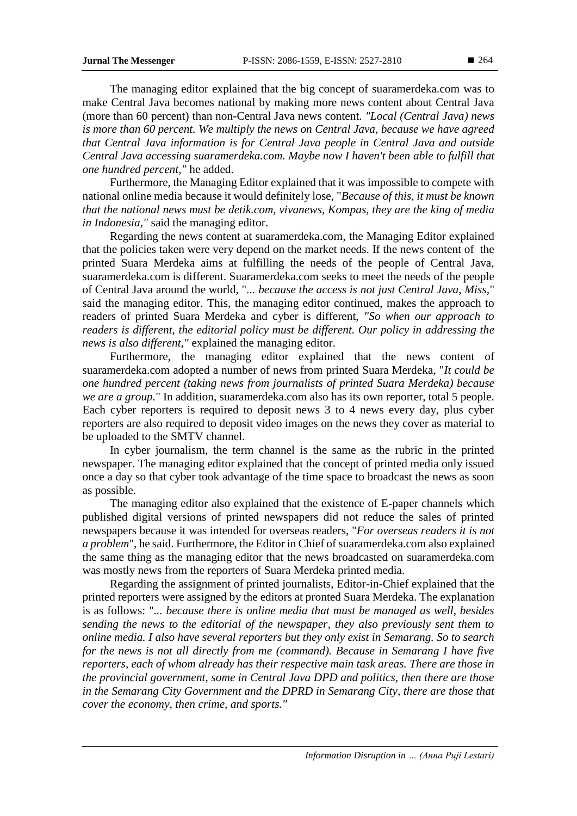The managing editor explained that the big concept of suaramerdeka.com was to make Central Java becomes national by making more news content about Central Java (more than 60 percent) than non-Central Java news content. *"Local (Central Java) news is more than 60 percent. We multiply the news on Central Java, because we have agreed that Central Java information is for Central Java people in Central Java and outside Central Java accessing suaramerdeka.com. Maybe now I haven't been able to fulfill that one hundred percent,"* he added.

Furthermore, the Managing Editor explained that it was impossible to compete with national online media because it would definitely lose, "*Because of this, it must be known that the national news must be detik.com, vivanews, Kompas, they are the king of media in Indonesia,"* said the managing editor.

Regarding the news content at suaramerdeka.com, the Managing Editor explained that the policies taken were very depend on the market needs. If the news content of the printed Suara Merdeka aims at fulfilling the needs of the people of Central Java, suaramerdeka.com is different. Suaramerdeka.com seeks to meet the needs of the people of Central Java around the world, "... *because the access is not just Central Java, Miss,*" said the managing editor. This, the managing editor continued, makes the approach to readers of printed Suara Merdeka and cyber is different, *"So when our approach to readers is different, the editorial policy must be different. Our policy in addressing the news is also different,"* explained the managing editor.

Furthermore, the managing editor explained that the news content of suaramerdeka.com adopted a number of news from printed Suara Merdeka, "*It could be one hundred percent (taking news from journalists of printed Suara Merdeka) because we are a group.*" In addition, suaramerdeka.com also has its own reporter, total 5 people. Each cyber reporters is required to deposit news 3 to 4 news every day, plus cyber reporters are also required to deposit video images on the news they cover as material to be uploaded to the SMTV channel.

In cyber journalism, the term channel is the same as the rubric in the printed newspaper. The managing editor explained that the concept of printed media only issued once a day so that cyber took advantage of the time space to broadcast the news as soon as possible.

The managing editor also explained that the existence of E-paper channels which published digital versions of printed newspapers did not reduce the sales of printed newspapers because it was intended for overseas readers, "*For overseas readers it is not a problem*", he said. Furthermore, the Editor in Chief of suaramerdeka.com also explained the same thing as the managing editor that the news broadcasted on suaramerdeka.com was mostly news from the reporters of Suara Merdeka printed media.

Regarding the assignment of printed journalists, Editor-in-Chief explained that the printed reporters were assigned by the editors at pronted Suara Merdeka. The explanation is as follows: "*... because there is online media that must be managed as well, besides sending the news to the editorial of the newspaper, they also previously sent them to online media. I also have several reporters but they only exist in Semarang. So to search for the news is not all directly from me (command). Because in Semarang I have five reporters, each of whom already has their respective main task areas. There are those in the provincial government, some in Central Java DPD and politics, then there are those in the Semarang City Government and the DPRD in Semarang City, there are those that cover the economy, then crime, and sports."*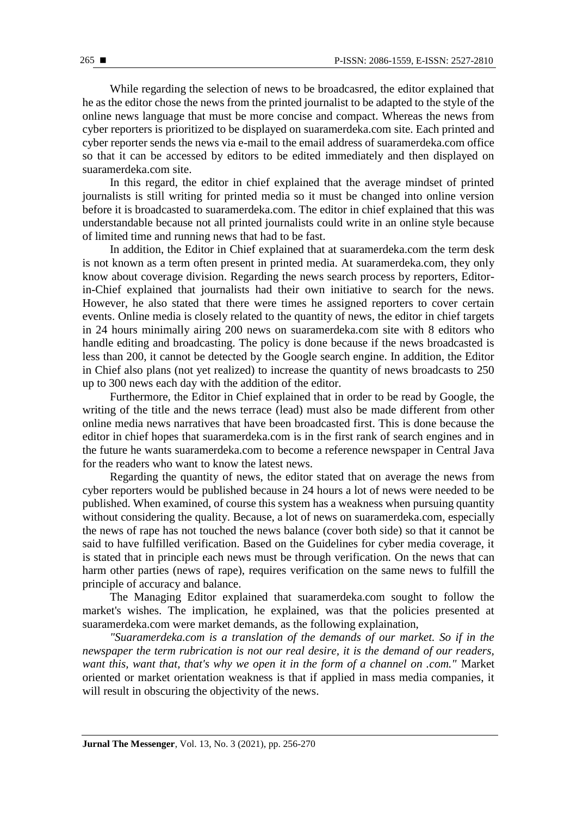While regarding the selection of news to be broadcasred, the editor explained that he as the editor chose the news from the printed journalist to be adapted to the style of the online news language that must be more concise and compact. Whereas the news from cyber reporters is prioritized to be displayed on suaramerdeka.com site. Each printed and cyber reporter sends the news via e-mail to the email address of suaramerdeka.com office so that it can be accessed by editors to be edited immediately and then displayed on suaramerdeka.com site.

In this regard, the editor in chief explained that the average mindset of printed journalists is still writing for printed media so it must be changed into online version before it is broadcasted to suaramerdeka.com. The editor in chief explained that this was understandable because not all printed journalists could write in an online style because of limited time and running news that had to be fast.

In addition, the Editor in Chief explained that at suaramerdeka.com the term desk is not known as a term often present in printed media. At suaramerdeka.com, they only know about coverage division. Regarding the news search process by reporters, Editorin-Chief explained that journalists had their own initiative to search for the news. However, he also stated that there were times he assigned reporters to cover certain events. Online media is closely related to the quantity of news, the editor in chief targets in 24 hours minimally airing 200 news on suaramerdeka.com site with 8 editors who handle editing and broadcasting. The policy is done because if the news broadcasted is less than 200, it cannot be detected by the Google search engine. In addition, the Editor in Chief also plans (not yet realized) to increase the quantity of news broadcasts to 250 up to 300 news each day with the addition of the editor.

Furthermore, the Editor in Chief explained that in order to be read by Google, the writing of the title and the news terrace (lead) must also be made different from other online media news narratives that have been broadcasted first. This is done because the editor in chief hopes that suaramerdeka.com is in the first rank of search engines and in the future he wants suaramerdeka.com to become a reference newspaper in Central Java for the readers who want to know the latest news.

Regarding the quantity of news, the editor stated that on average the news from cyber reporters would be published because in 24 hours a lot of news were needed to be published. When examined, of course this system has a weakness when pursuing quantity without considering the quality. Because, a lot of news on suaramerdeka.com, especially the news of rape has not touched the news balance (cover both side) so that it cannot be said to have fulfilled verification. Based on the Guidelines for cyber media coverage, it is stated that in principle each news must be through verification. On the news that can harm other parties (news of rape), requires verification on the same news to fulfill the principle of accuracy and balance.

The Managing Editor explained that suaramerdeka.com sought to follow the market's wishes. The implication, he explained, was that the policies presented at suaramerdeka.com were market demands, as the following explaination,

*"Suaramerdeka.com is a translation of the demands of our market. So if in the newspaper the term rubrication is not our real desire, it is the demand of our readers, want this, want that, that's why we open it in the form of a channel on .com."* Market oriented or market orientation weakness is that if applied in mass media companies, it will result in obscuring the objectivity of the news.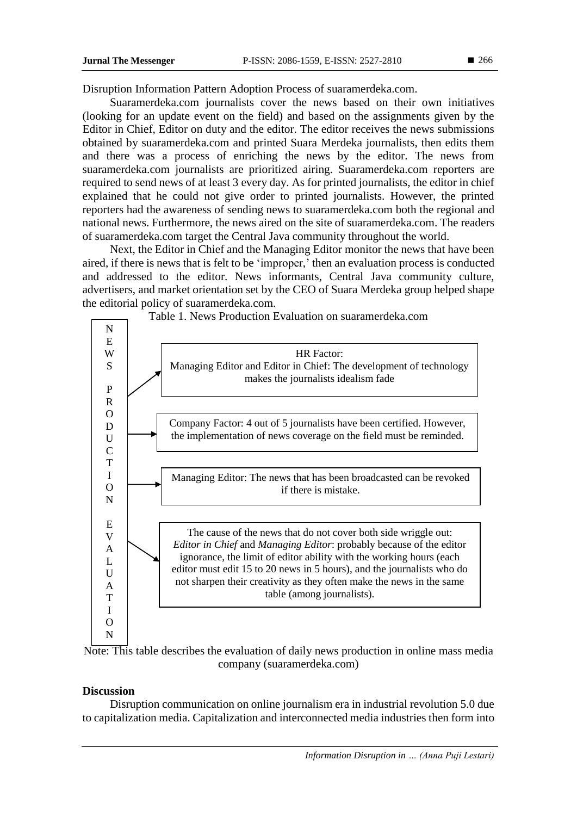Disruption Information Pattern Adoption Process of suaramerdeka.com.

Suaramerdeka.com journalists cover the news based on their own initiatives (looking for an update event on the field) and based on the assignments given by the Editor in Chief, Editor on duty and the editor. The editor receives the news submissions obtained by suaramerdeka.com and printed Suara Merdeka journalists, then edits them and there was a process of enriching the news by the editor. The news from suaramerdeka.com journalists are prioritized airing. Suaramerdeka.com reporters are required to send news of at least 3 every day. As for printed journalists, the editor in chief explained that he could not give order to printed journalists. However, the printed reporters had the awareness of sending news to suaramerdeka.com both the regional and national news. Furthermore, the news aired on the site of suaramerdeka.com. The readers of suaramerdeka.com target the Central Java community throughout the world.

Next, the Editor in Chief and the Managing Editor monitor the news that have been aired, if there is news that is felt to be 'improper,' then an evaluation process is conducted and addressed to the editor. News informants, Central Java community culture, advertisers, and market orientation set by the CEO of Suara Merdeka group helped shape the editorial policy of suaramerdeka.com.





## **Discussion**

Disruption communication on online journalism era in industrial revolution 5.0 due to capitalization media. Capitalization and interconnected media industries then form into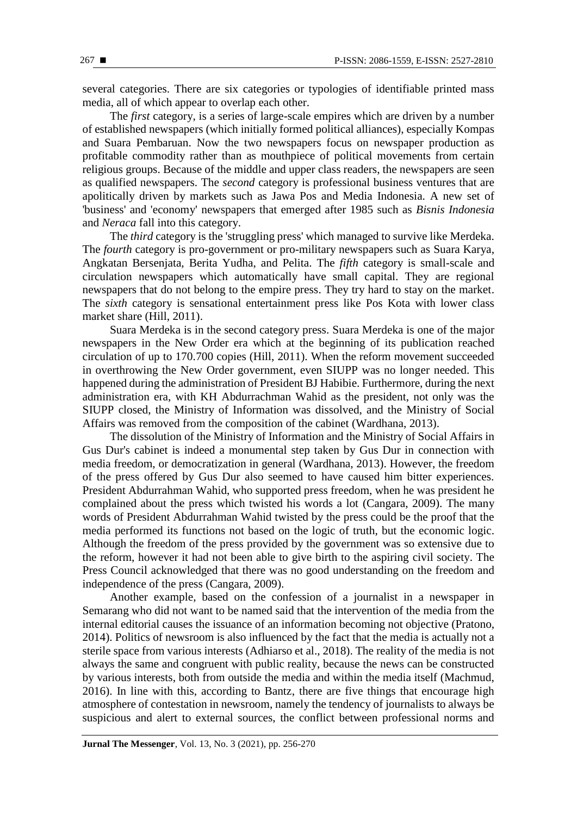several categories. There are six categories or typologies of identifiable printed mass media, all of which appear to overlap each other.

The *first* category, is a series of large-scale empires which are driven by a number of established newspapers (which initially formed political alliances), especially Kompas and Suara Pembaruan. Now the two newspapers focus on newspaper production as profitable commodity rather than as mouthpiece of political movements from certain religious groups. Because of the middle and upper class readers, the newspapers are seen as qualified newspapers. The *second* category is professional business ventures that are apolitically driven by markets such as Jawa Pos and Media Indonesia. A new set of 'business' and 'economy' newspapers that emerged after 1985 such as *Bisnis Indonesia* and *Neraca* fall into this category.

The *third* category is the 'struggling press' which managed to survive like Merdeka. The *fourth* category is pro-government or pro-military newspapers such as Suara Karya, Angkatan Bersenjata, Berita Yudha, and Pelita. The *fifth* category is small-scale and circulation newspapers which automatically have small capital. They are regional newspapers that do not belong to the empire press. They try hard to stay on the market. The *sixth* category is sensational entertainment press like Pos Kota with lower class market share (Hill, 2011).

Suara Merdeka is in the second category press. Suara Merdeka is one of the major newspapers in the New Order era which at the beginning of its publication reached circulation of up to 170.700 copies (Hill, 2011). When the reform movement succeeded in overthrowing the New Order government, even SIUPP was no longer needed. This happened during the administration of President BJ Habibie. Furthermore, during the next administration era, with KH Abdurrachman Wahid as the president, not only was the SIUPP closed, the Ministry of Information was dissolved, and the Ministry of Social Affairs was removed from the composition of the cabinet (Wardhana, 2013).

The dissolution of the Ministry of Information and the Ministry of Social Affairs in Gus Dur's cabinet is indeed a monumental step taken by Gus Dur in connection with media freedom, or democratization in general (Wardhana, 2013). However, the freedom of the press offered by Gus Dur also seemed to have caused him bitter experiences. President Abdurrahman Wahid, who supported press freedom, when he was president he complained about the press which twisted his words a lot (Cangara, 2009). The many words of President Abdurrahman Wahid twisted by the press could be the proof that the media performed its functions not based on the logic of truth, but the economic logic. Although the freedom of the press provided by the government was so extensive due to the reform, however it had not been able to give birth to the aspiring civil society. The Press Council acknowledged that there was no good understanding on the freedom and independence of the press (Cangara, 2009).

Another example, based on the confession of a journalist in a newspaper in Semarang who did not want to be named said that the intervention of the media from the internal editorial causes the issuance of an information becoming not objective (Pratono, 2014). Politics of newsroom is also influenced by the fact that the media is actually not a sterile space from various interests (Adhiarso et al., 2018). The reality of the media is not always the same and congruent with public reality, because the news can be constructed by various interests, both from outside the media and within the media itself (Machmud, 2016). In line with this, according to Bantz, there are five things that encourage high atmosphere of contestation in newsroom, namely the tendency of journalists to always be suspicious and alert to external sources, the conflict between professional norms and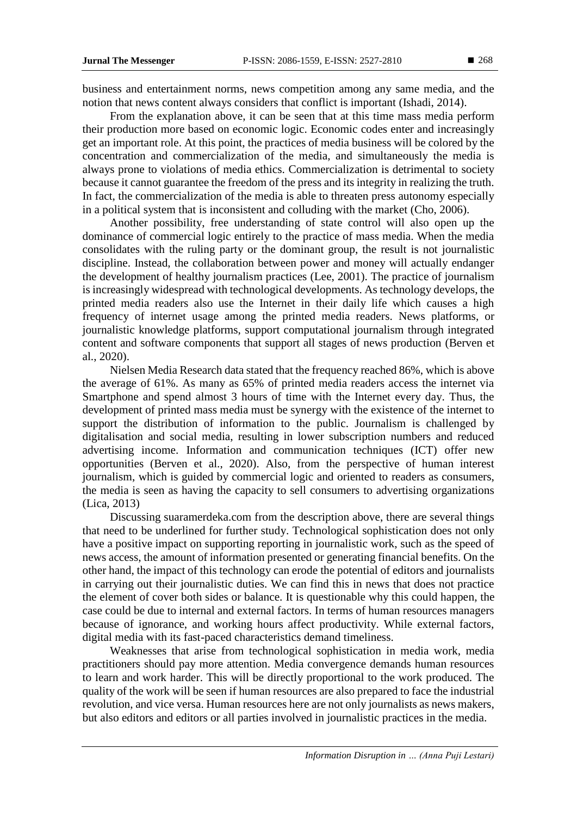business and entertainment norms, news competition among any same media, and the notion that news content always considers that conflict is important (Ishadi, 2014).

From the explanation above, it can be seen that at this time mass media perform their production more based on economic logic. Economic codes enter and increasingly get an important role. At this point, the practices of media business will be colored by the concentration and commercialization of the media, and simultaneously the media is always prone to violations of media ethics. Commercialization is detrimental to society because it cannot guarantee the freedom of the press and its integrity in realizing the truth. In fact, the commercialization of the media is able to threaten press autonomy especially in a political system that is inconsistent and colluding with the market (Cho, 2006).

Another possibility, free understanding of state control will also open up the dominance of commercial logic entirely to the practice of mass media. When the media consolidates with the ruling party or the dominant group, the result is not journalistic discipline. Instead, the collaboration between power and money will actually endanger the development of healthy journalism practices (Lee, 2001). The practice of journalism is increasingly widespread with technological developments. As technology develops, the printed media readers also use the Internet in their daily life which causes a high frequency of internet usage among the printed media readers. News platforms, or journalistic knowledge platforms, support computational journalism through integrated content and software components that support all stages of news production (Berven et al., 2020).

Nielsen Media Research data stated that the frequency reached 86%, which is above the average of 61%. As many as 65% of printed media readers access the internet via Smartphone and spend almost 3 hours of time with the Internet every day. Thus, the development of printed mass media must be synergy with the existence of the internet to support the distribution of information to the public. Journalism is challenged by digitalisation and social media, resulting in lower subscription numbers and reduced advertising income. Information and communication techniques (ICT) offer new opportunities (Berven et al., 2020). Also, from the perspective of human interest journalism, which is guided by commercial logic and oriented to readers as consumers, the media is seen as having the capacity to sell consumers to advertising organizations (Lica, 2013)

Discussing suaramerdeka.com from the description above, there are several things that need to be underlined for further study. Technological sophistication does not only have a positive impact on supporting reporting in journalistic work, such as the speed of news access, the amount of information presented or generating financial benefits. On the other hand, the impact of this technology can erode the potential of editors and journalists in carrying out their journalistic duties. We can find this in news that does not practice the element of cover both sides or balance. It is questionable why this could happen, the case could be due to internal and external factors. In terms of human resources managers because of ignorance, and working hours affect productivity. While external factors, digital media with its fast-paced characteristics demand timeliness.

Weaknesses that arise from technological sophistication in media work, media practitioners should pay more attention. Media convergence demands human resources to learn and work harder. This will be directly proportional to the work produced. The quality of the work will be seen if human resources are also prepared to face the industrial revolution, and vice versa. Human resources here are not only journalists as news makers, but also editors and editors or all parties involved in journalistic practices in the media.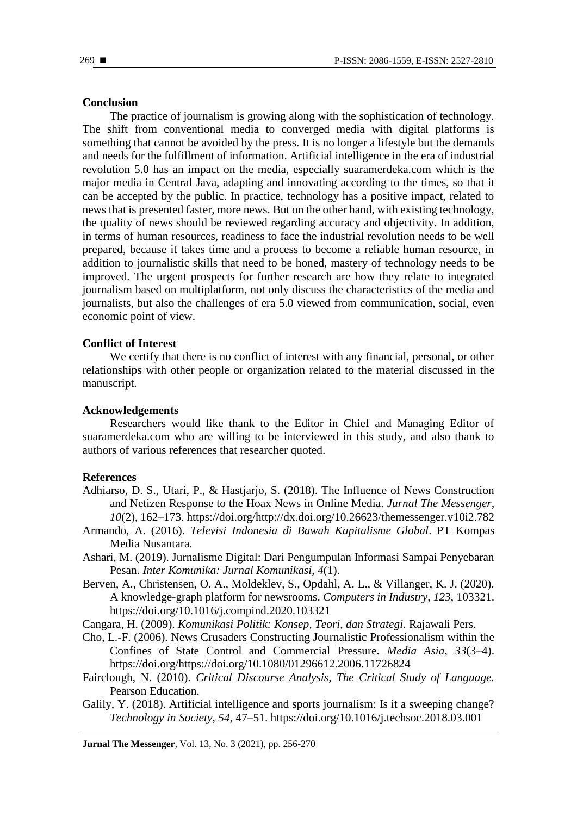#### **Conclusion**

The practice of journalism is growing along with the sophistication of technology. The shift from conventional media to converged media with digital platforms is something that cannot be avoided by the press. It is no longer a lifestyle but the demands and needs for the fulfillment of information. Artificial intelligence in the era of industrial revolution 5.0 has an impact on the media, especially suaramerdeka.com which is the major media in Central Java, adapting and innovating according to the times, so that it can be accepted by the public. In practice, technology has a positive impact, related to news that is presented faster, more news. But on the other hand, with existing technology, the quality of news should be reviewed regarding accuracy and objectivity. In addition, in terms of human resources, readiness to face the industrial revolution needs to be well prepared, because it takes time and a process to become a reliable human resource, in addition to journalistic skills that need to be honed, mastery of technology needs to be improved. The urgent prospects for further research are how they relate to integrated journalism based on multiplatform, not only discuss the characteristics of the media and journalists, but also the challenges of era 5.0 viewed from communication, social, even economic point of view.

#### **Conflict of Interest**

We certify that there is no conflict of interest with any financial, personal, or other relationships with other people or organization related to the material discussed in the manuscript.

## **Acknowledgements**

Researchers would like thank to the Editor in Chief and Managing Editor of suaramerdeka.com who are willing to be interviewed in this study, and also thank to authors of various references that researcher quoted.

#### **References**

- Adhiarso, D. S., Utari, P., & Hastjarjo, S. (2018). The Influence of News Construction and Netizen Response to the Hoax News in Online Media. *Jurnal The Messenger*, *10*(2), 162–173. https://doi.org/http://dx.doi.org/10.26623/themessenger.v10i2.782
- Armando, A. (2016). *Televisi Indonesia di Bawah Kapitalisme Global*. PT Kompas Media Nusantara.
- Ashari, M. (2019). Jurnalisme Digital: Dari Pengumpulan Informasi Sampai Penyebaran Pesan. *Inter Komunika: Jurnal Komunikasi*, *4*(1).
- Berven, A., Christensen, O. A., Moldeklev, S., Opdahl, A. L., & Villanger, K. J. (2020). A knowledge-graph platform for newsrooms. *Computers in Industry*, *123*, 103321. https://doi.org/10.1016/j.compind.2020.103321

Cangara, H. (2009). *Komunikasi Politik: Konsep, Teori, dan Strategi.* Rajawali Pers.

- Cho, L.-F. (2006). News Crusaders Constructing Journalistic Professionalism within the Confines of State Control and Commercial Pressure. *Media Asia*, *33*(3–4). https://doi.org/https://doi.org/10.1080/01296612.2006.11726824
- Fairclough, N. (2010). *Critical Discourse Analysis, The Critical Study of Language.* Pearson Education.
- Galily, Y. (2018). Artificial intelligence and sports journalism: Is it a sweeping change? *Technology in Society*, *54*, 47–51. https://doi.org/10.1016/j.techsoc.2018.03.001